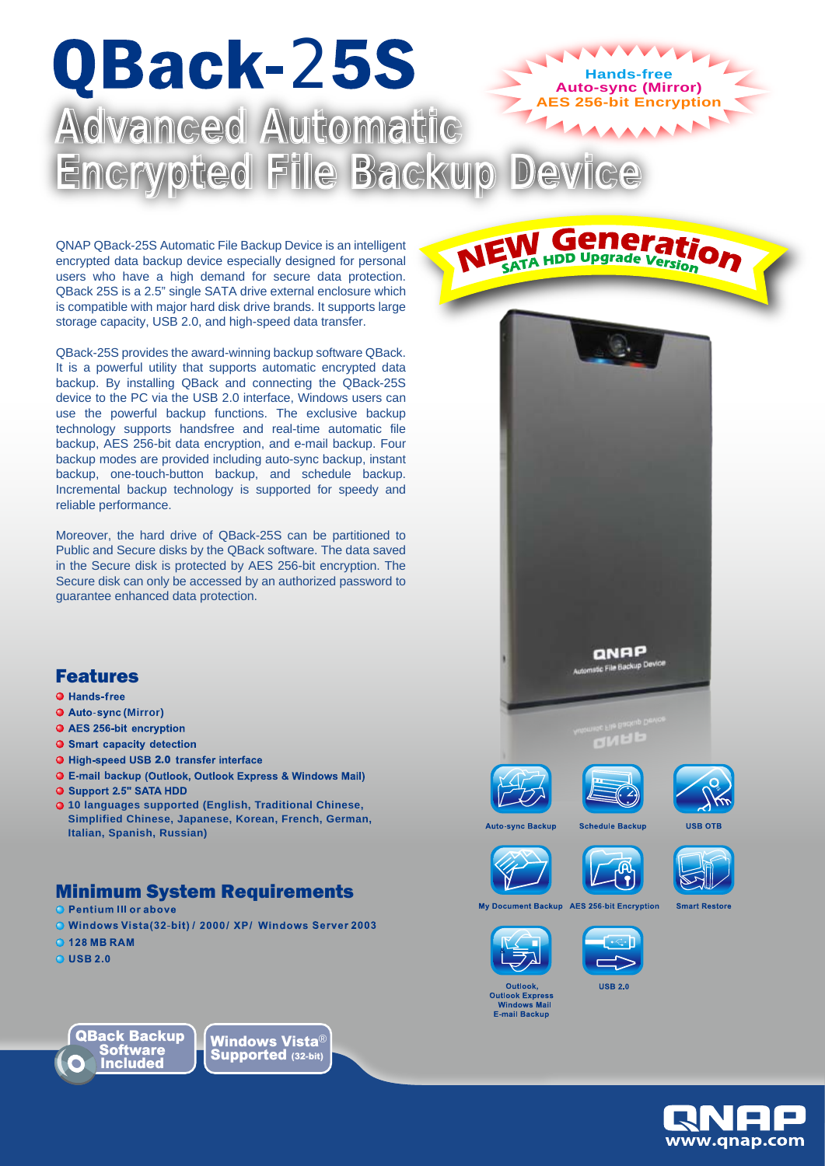# QBack-25S **ES 256-bit Encryption Auto-sync (Mirror) Hands-free** Vanced Automatic Encrypted File Backup Device

QNAP QBack-25S Automatic File Backup Device is an intelligent encrypted data backup device especially designed for personal users who have a high demand for secure data protection. QBack 25S is a 2.5" single SATA drive external enclosure which is compatible with major hard disk drive brands. It supports large storage capacity, USB 2.0, and high-speed data transfer.

QBack-25S provides the award-winning backup software QBack. It is a powerful utility that supports automatic encrypted data backup. By installing QBack and connecting the QBack-25S device to the PC via the USB 2.0 interface, Windows users can use the powerful backup functions. The exclusive backup technology supports handsfree and real-time automatic file backup, AES 256-bit data encryption, and e-mail backup. Four backup modes are provided including auto-sync backup, instant backup, one-touch-button backup, and schedule backup. Incremental backup technology is supported for speedy and reliable performance.

Moreover, the hard drive of QBack-25S can be partitioned to Public and Secure disks by the QBack software. The data saved in the Secure disk is protected by AES 256-bit encryption. The Secure disk can only be accessed by an authorized password to guarantee enhanced data protection.

### Features

#### **O** Hands-free

- **O** Auto-sync (Mirror)
- AES 256-bit encryption
- **O** Smart capacity detection
- O High-speed USB 2.0 transfer interface
- **O** E-mail backup (Outlook, Outlook Express & Windows Mail)<br>**O** Support 2.5" SATA HDD
- 
- **10 languages supported (English, Traditional Chinese, Simplified Chinese, Japanese, Korean, French, German, Italian, Spanish, Russian)**

# **Minimum System Requirements**<br>**O Pentium III or above**

- 
- Windows Vista(32-bit) / 2000/ XP/ Windows Server 2003
- **O 128 MR RAM**
- $Q$  USB 2.0



Windows Vista® Supported (32-bit)







**QNAP** de File Backup De

**W Generation** 



**USB OTE** 

vne Backur





**AES 256-bit Encryption My Document Backup** 





**Outlook Expr** Windows Mail<br>E-mail Backup